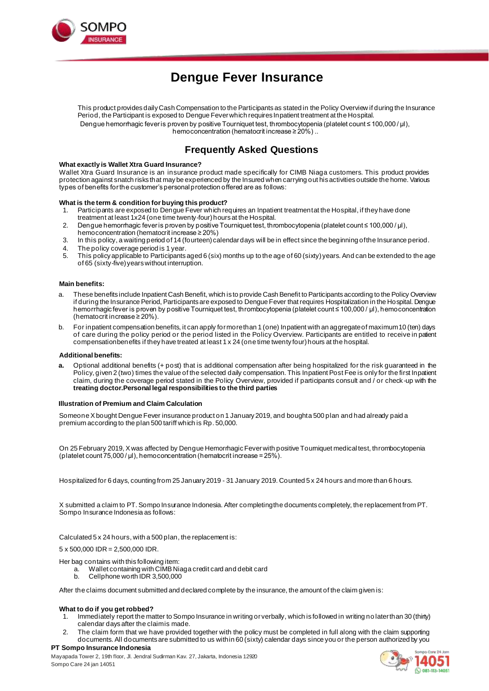

# **Dengue Fever Insurance**

This product provides daily Cash Compensation to the Participants as stated in the Policy Overview if during the Insurance Period, the Participant is exposed to Dengue Fever which requires Inpatient treatment at the Hospital. Dengue hemorrhagic fever is proven by positive Tourniquet test, thrombocytopenia (platelet count ≤ 100,000 / µl), hemoconcentration (hematocrit increase ≥ 20%) ..

# **Frequently Asked Questions**

#### **What exactly is Wallet Xtra Guard Insurance?**

Wallet Xtra Guard Insurance is an insurance product made specifically for CIMB Niaga customers. This product provides protection against snatch risks that may be experienced by the Insured when carrying out hisactivities outside the home. Various types of benefits for the customer's personal protection offered are as follows:

#### **What is the term & condition for buying this product?**

- 1. Participants are exposed to Dengue Fever which requires an Inpatient treatment at the Hospital, if they have done treatment at least 1x24 (one time twenty-four) hours at the Hospital.
- 2. Dengue hemorrhagic fever is proven by positive Tourniquet test, thrombocytopenia (platelet count ≤ 100,000 / µl), hemoconcentration (hematocrit increase ≥ 20%)
- 3. In this policy, a waiting period of 14 (fourteen) calendar days will be in effect since the beginning of the Insurance period.
- 4. The policy coverage period is 1 year.<br>5. This policy applicable to Participants:
- 5. This policy applicable to Participants aged 6 (six) months up to the age of 60 (sixty) years. And can be extended to the age of 65 (sixty-five) years without interruption.

#### **Main benefits:**

- These benefits include Inpatient Cash Benefit, which is to provide Cash Benefit to Participants according to the Policy Overview if during the Insurance Period, Participants are exposed to Dengue Fever that requires Hospitalization in the Hospital. Dengue hemorrhagic fever is proven by positive Tourniquet test, thrombocytopenia (platelet count ≤ 100,000 / µl), hemoconcentration (hematocrit increase ≥ 20%).
- b. For inpatient compensation benefits, it can apply for more than 1 (one) Inpatient with an aggregate of maximum 10 (ten) days of care during the policy period or the period listed in the Policy Overview. Participants are entitled to receive in patient compensation benefits if they have treated at least 1 x 24 (one time twenty four) hours at the hospital.

#### **Additional benefits:**

**a.** Optional additional benefits (+ post) that is additional compensation after being hospitalized for the risk guaranteed in the Policy, given 2 (two) times the value of the selected daily compensation. This Inpatient Post Fee is only for the first Inpatient claim, during the coverage period stated in the Policy Overview, provided if participants consult and / or check -up with the **treating doctor.Personal legal responsibilities to the third parties**

#### **Illustration of Premium and Claim Calculation**

Someone X bought Dengue Fever insurance product on 1 January 2019, and bought a 500 plan and had already paid a premium according to the plan 500 tariff which is Rp. 50,000.

On 25 February 2019, X was affected by Dengue Hemorrhagic Fever with positive Tourniquet medical test, thrombocytopenia (platelet count 75,000 / μl), hemoconcentration (hematocrit increase = 25%).

Hospitalized for 6 days, counting from 25 January 2019 - 31 January 2019. Counted 5 x 24 hours and more than 6 hours.

X submitted a claim to PT. Sompo Insurance Indonesia. After completing the documents completely, the replacement from PT. Sompo Insurance Indonesia as follows:

Calculated 5 x 24 hours, with a 500 plan, the replacement is:

5 x 500,000 IDR = 2,500,000 IDR.

- Her bag contains with this following item:
	- a. Wallet containing with CIMB Niaga credit card and debit card
	- b. Cellphone worth IDR 3,500,000

After the claims document submitted and declared complete by the insurance, the amount of the claim given is:

#### **What to do if you get robbed?**

- 1. Immediately report the matter to Sompo Insurance in writing orverbally, which is followed in writing no laterthan 30 (thirty) calendar days after the claim is made.
- 2. The claim form that we have provided together with the policy must be completed in full along with the claim supporting documents. All documents are submitted to us within 60 (sixty) calendar days since you or the person authorized by you

# **PT Sompo Insurance Indonesia**